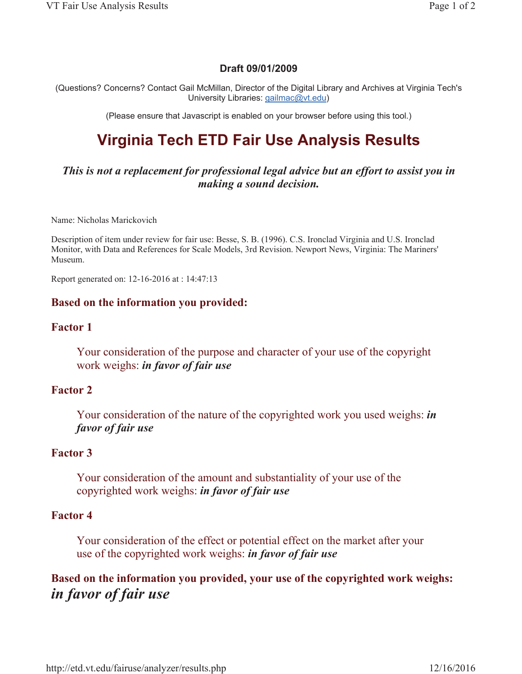# **Draft 09/01/2009**

(Questions? Concerns? Contact Gail McMillan, Director of the Digital Library and Archives at Virginia Tech's University Libraries: gailmac@vt.edu)

(Please ensure that Javascript is enabled on your browser before using this tool.)

# **Virginia Tech ETD Fair Use Analysis Results**

*This is not a replacement for professional legal advice but an effort to assist you in making a sound decision.*

Name: Nicholas Marickovich

Description of item under review for fair use: Besse, S. B. (1996). C.S. Ironclad Virginia and U.S. Ironclad Monitor, with Data and References for Scale Models, 3rd Revision. Newport News, Virginia: The Mariners' Museum.

Report generated on: 12-16-2016 at : 14:47:13

### **Based on the information you provided:**

#### **Factor 1**

Your consideration of the purpose and character of your use of the copyright work weighs: *in favor of fair use* 

## **Factor 2**

Your consideration of the nature of the copyrighted work you used weighs: *in favor of fair use* 

#### **Factor 3**

Your consideration of the amount and substantiality of your use of the copyrighted work weighs: *in favor of fair use* 

## **Factor 4**

Your consideration of the effect or potential effect on the market after your use of the copyrighted work weighs: *in favor of fair use* 

**Based on the information you provided, your use of the copyrighted work weighs:** *in favor of fair use*